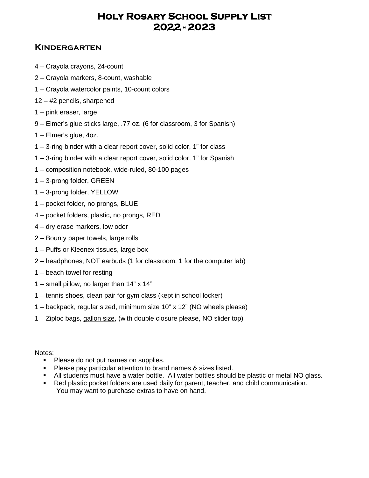### **Kindergarten**

- 4 Crayola crayons, 24-count
- 2 Crayola markers, 8-count, washable
- 1 Crayola watercolor paints, 10-count colors
- 12 #2 pencils, sharpened
- 1 pink eraser, large
- 9 Elmer's glue sticks large, .77 oz. (6 for classroom, 3 for Spanish)
- 1 Elmer's glue, 4oz.
- 1 3-ring binder with a clear report cover, solid color, 1" for class
- 1 3-ring binder with a clear report cover, solid color, 1" for Spanish
- 1 composition notebook, wide-ruled, 80-100 pages
- 1 3-prong folder, GREEN
- 1 3-prong folder, YELLOW
- 1 pocket folder, no prongs, BLUE
- 4 pocket folders, plastic, no prongs, RED
- 4 dry erase markers, low odor
- 2 Bounty paper towels, large rolls
- 1 Puffs or Kleenex tissues, large box
- 2 headphones, NOT earbuds (1 for classroom, 1 for the computer lab)
- 1 beach towel for resting
- 1 small pillow, no larger than 14" x 14"
- 1 tennis shoes, clean pair for gym class (kept in school locker)
- 1 backpack, regular sized, minimum size 10" x 12" (NO wheels please)
- 1 Ziploc bags, gallon size, (with double closure please, NO slider top)

- Please do not put names on supplies.
- **Please pay particular attention to brand names & sizes listed.**
- All students must have a water bottle. All water bottles should be plastic or metal NO glass.
- Red plastic pocket folders are used daily for parent, teacher, and child communication. You may want to purchase extras to have on hand.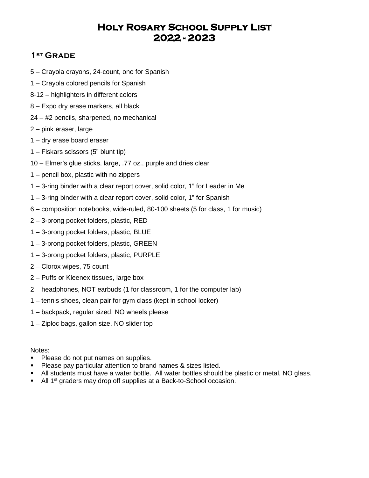### **1st Grade**

- 5 Crayola crayons, 24-count, one for Spanish
- 1 Crayola colored pencils for Spanish
- 8-12 highlighters in different colors
- 8 Expo dry erase markers, all black
- 24 #2 pencils, sharpened, no mechanical
- 2 pink eraser, large
- 1 dry erase board eraser
- 1 Fiskars scissors (5" blunt tip)
- 10 Elmer's glue sticks, large, .77 oz., purple and dries clear
- 1 pencil box, plastic with no zippers
- 1 3-ring binder with a clear report cover, solid color, 1" for Leader in Me
- 1 3-ring binder with a clear report cover, solid color, 1" for Spanish
- 6 composition notebooks, wide-ruled, 80-100 sheets (5 for class, 1 for music)
- 2 3-prong pocket folders, plastic, RED
- 1 3-prong pocket folders, plastic, BLUE
- 1 3-prong pocket folders, plastic, GREEN
- 1 3-prong pocket folders, plastic, PURPLE
- 2 Clorox wipes, 75 count
- 2 Puffs or Kleenex tissues, large box
- 2 headphones, NOT earbuds (1 for classroom, 1 for the computer lab)
- 1 tennis shoes, clean pair for gym class (kept in school locker)
- 1 backpack, regular sized, NO wheels please
- 1 Ziploc bags, gallon size, NO slider top

- Please do not put names on supplies.
- Please pay particular attention to brand names & sizes listed.
- All students must have a water bottle. All water bottles should be plastic or metal, NO glass.
- All 1<sup>st</sup> graders may drop off supplies at a Back-to-School occasion.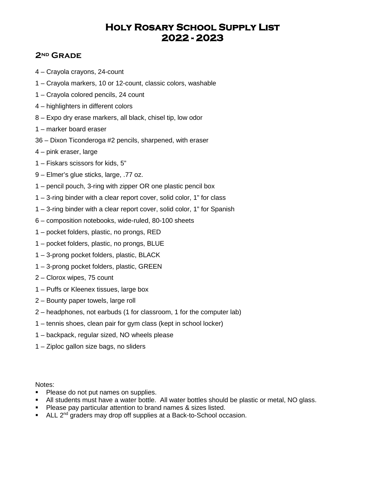### **2nd Grade**

- 4 Crayola crayons, 24-count
- 1 Crayola markers, 10 or 12-count, classic colors, washable
- 1 Crayola colored pencils, 24 count
- 4 highlighters in different colors
- 8 Expo dry erase markers, all black, chisel tip, low odor
- 1 marker board eraser
- 36 Dixon Ticonderoga #2 pencils, sharpened, with eraser
- 4 pink eraser, large
- 1 Fiskars scissors for kids, 5"
- 9 Elmer's glue sticks, large, .77 oz.
- 1 pencil pouch, 3-ring with zipper OR one plastic pencil box
- 1 3-ring binder with a clear report cover, solid color, 1" for class
- 1 3-ring binder with a clear report cover, solid color, 1" for Spanish
- 6 composition notebooks, wide-ruled, 80-100 sheets
- 1 pocket folders, plastic, no prongs, RED
- 1 pocket folders, plastic, no prongs, BLUE
- 1 3-prong pocket folders, plastic, BLACK
- 1 3-prong pocket folders, plastic, GREEN
- 2 Clorox wipes, 75 count
- 1 Puffs or Kleenex tissues, large box
- 2 Bounty paper towels, large roll
- 2 headphones, not earbuds (1 for classroom, 1 for the computer lab)
- 1 tennis shoes, clean pair for gym class (kept in school locker)
- 1 backpack, regular sized, NO wheels please
- 1 Ziploc gallon size bags, no sliders

- **Please do not put names on supplies.**
- All students must have a water bottle. All water bottles should be plastic or metal, NO glass.
- **Please pay particular attention to brand names & sizes listed.**
- ALL 2<sup>nd</sup> graders may drop off supplies at a Back-to-School occasion.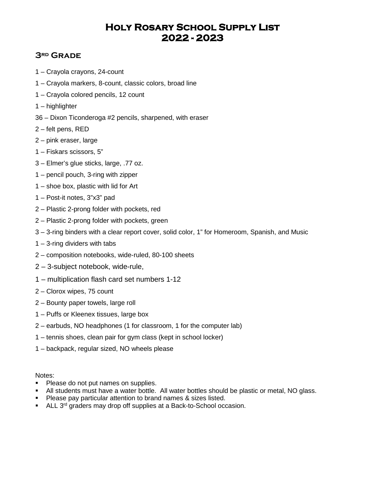### **3rd Grade**

- 1 Crayola crayons, 24-count
- 1 Crayola markers, 8-count, classic colors, broad line
- 1 Crayola colored pencils, 12 count
- 1 highlighter
- 36 Dixon Ticonderoga #2 pencils, sharpened, with eraser
- 2 felt pens, RED
- 2 pink eraser, large
- 1 Fiskars scissors, 5"
- 3 Elmer's glue sticks, large, .77 oz.
- 1 pencil pouch, 3-ring with zipper
- 1 shoe box, plastic with lid for Art
- 1 Post-it notes, 3"x3" pad
- 2 Plastic 2-prong folder with pockets, red
- 2 Plastic 2-prong folder with pockets, green
- 3 3-ring binders with a clear report cover, solid color, 1" for Homeroom, Spanish, and Music
- 1 3-ring dividers with tabs
- 2 composition notebooks, wide-ruled, 80-100 sheets
- 2 3-subject notebook, wide-rule,
- 1 multiplication flash card set numbers 1-12
- 2 Clorox wipes, 75 count
- 2 Bounty paper towels, large roll
- 1 Puffs or Kleenex tissues, large box
- 2 earbuds, NO headphones (1 for classroom, 1 for the computer lab)
- 1 tennis shoes, clean pair for gym class (kept in school locker)
- 1 backpack, regular sized, NO wheels please

- **Please do not put names on supplies.**
- All students must have a water bottle. All water bottles should be plastic or metal, NO glass.
- Please pay particular attention to brand names & sizes listed.
- $\blacksquare$  ALL 3<sup>rd</sup> graders may drop off supplies at a Back-to-School occasion.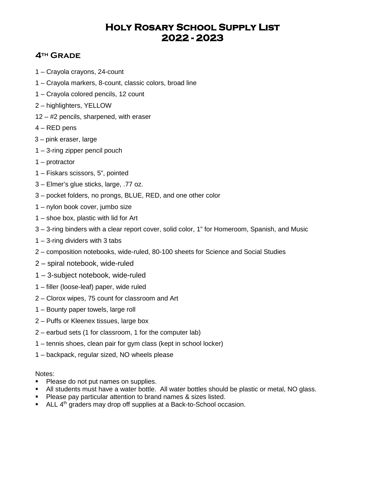## **4th Grade**

- 1 Crayola crayons, 24-count
- 1 Crayola markers, 8-count, classic colors, broad line
- 1 Crayola colored pencils, 12 count
- 2 highlighters, YELLOW
- 12 #2 pencils, sharpened, with eraser
- 4 RED pens
- 3 pink eraser, large
- 1 3-ring zipper pencil pouch
- 1 protractor
- 1 Fiskars scissors, 5", pointed
- 3 Elmer's glue sticks, large, .77 oz.
- 3 pocket folders, no prongs, BLUE, RED, and one other color
- 1 nylon book cover, jumbo size
- 1 shoe box, plastic with lid for Art
- 3 3-ring binders with a clear report cover, solid color, 1" for Homeroom, Spanish, and Music
- 1 3-ring dividers with 3 tabs
- 2 composition notebooks, wide-ruled, 80-100 sheets for Science and Social Studies
- 2 spiral notebook, wide-ruled
- 1 3-subject notebook, wide-ruled
- 1 filler (loose-leaf) paper, wide ruled
- 2 Clorox wipes, 75 count for classroom and Art
- 1 Bounty paper towels, large roll
- 2 Puffs or Kleenex tissues, large box
- 2 earbud sets (1 for classroom, 1 for the computer lab)
- 1 tennis shoes, clean pair for gym class (kept in school locker)
- 1 backpack, regular sized, NO wheels please

- Please do not put names on supplies.
- All students must have a water bottle. All water bottles should be plastic or metal, NO glass.
- **Please pay particular attention to brand names & sizes listed.**
- $\blacksquare$  ALL  $4<sup>th</sup>$  graders may drop off supplies at a Back-to-School occasion.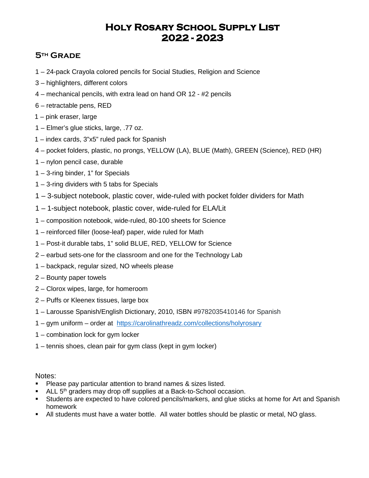## **5th Grade**

- 1 24-pack Crayola colored pencils for Social Studies, Religion and Science
- 3 highlighters, different colors
- 4 mechanical pencils, with extra lead on hand OR 12 #2 pencils
- 6 retractable pens, RED
- 1 pink eraser, large
- 1 Elmer's glue sticks, large, .77 oz.
- 1 index cards, 3"x5" ruled pack for Spanish
- 4 pocket folders, plastic, no prongs, YELLOW (LA), BLUE (Math), GREEN (Science), RED (HR)
- 1 nylon pencil case, durable
- 1 3-ring binder, 1" for Specials
- 1 3-ring dividers with 5 tabs for Specials
- 1 3-subject notebook, plastic cover, wide-ruled with pocket folder dividers for Math
- 1 1-subject notebook, plastic cover, wide-ruled for ELA/Lit
- 1 composition notebook, wide-ruled, 80-100 sheets for Science
- 1 reinforced filler (loose-leaf) paper, wide ruled for Math
- 1 Post-it durable tabs, 1" solid BLUE, RED, YELLOW for Science
- 2 earbud sets-one for the classroom and one for the Technology Lab
- 1 backpack, regular sized, NO wheels please
- 2 Bounty paper towels
- 2 Clorox wipes, large, for homeroom
- 2 Puffs or Kleenex tissues, large box
- 1 Larousse Spanish/English Dictionary, 2010, ISBN #9782035410146 for Spanish
- 1 gym uniform order at <https://carolinathreadz.com/collections/holyrosary>
- 1 combination lock for gym locker
- 1 tennis shoes, clean pair for gym class (kept in gym locker)

- **Please pay particular attention to brand names & sizes listed.**
- ALL 5<sup>th</sup> graders may drop off supplies at a Back-to-School occasion.
- Students are expected to have colored pencils/markers, and glue sticks at home for Art and Spanish homework
- All students must have a water bottle. All water bottles should be plastic or metal, NO glass.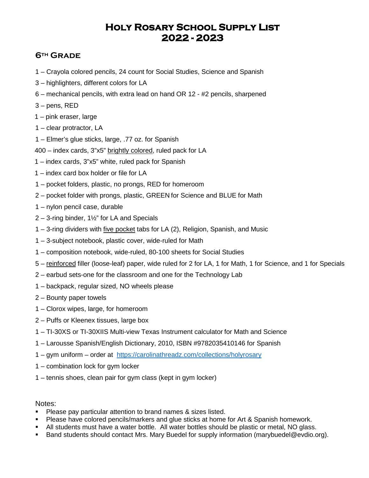## **6th Grade**

- 1 Crayola colored pencils, 24 count for Social Studies, Science and Spanish
- 3 highlighters, different colors for LA
- 6 mechanical pencils, with extra lead on hand OR 12 #2 pencils, sharpened
- 3 pens, RED
- 1 pink eraser, large
- 1 clear protractor, LA
- 1 Elmer's glue sticks, large, .77 oz. for Spanish
- 400 index cards, 3"x5" brightly colored, ruled pack for LA
- 1 index cards, 3"x5" white, ruled pack for Spanish
- 1 index card box holder or file for LA
- 1 pocket folders, plastic, no prongs, RED for homeroom
- 2 pocket folder with prongs, plastic, GREEN for Science and BLUE for Math
- 1 nylon pencil case, durable
- 2 3-ring binder, 1½" for LA and Specials
- 1 3-ring dividers with five pocket tabs for LA (2), Religion, Spanish, and Music
- 1 3-subject notebook, plastic cover, wide-ruled for Math
- 1 composition notebook, wide-ruled, 80-100 sheets for Social Studies
- 5 reinforced filler (loose-leaf) paper, wide ruled for 2 for LA, 1 for Math, 1 for Science, and 1 for Specials
- 2 earbud sets-one for the classroom and one for the Technology Lab
- 1 backpack, regular sized, NO wheels please
- 2 Bounty paper towels
- 1 Clorox wipes, large, for homeroom
- 2 Puffs or Kleenex tissues, large box
- 1 TI-30XS or TI-30XIIS Multi-view Texas Instrument calculator for Math and Science
- 1 Larousse Spanish/English Dictionary, 2010, ISBN #9782035410146 for Spanish
- 1 gym uniform order at <https://carolinathreadz.com/collections/holyrosary>
- 1 combination lock for gym locker
- 1 tennis shoes, clean pair for gym class (kept in gym locker)

- Please pay particular attention to brand names & sizes listed.
- **Please have colored pencils/markers and glue sticks at home for Art & Spanish homework.**
- All students must have a water bottle. All water bottles should be plastic or metal, NO glass.
- Band students should contact Mrs. Mary Buedel for supply information (marybuedel@evdio.org).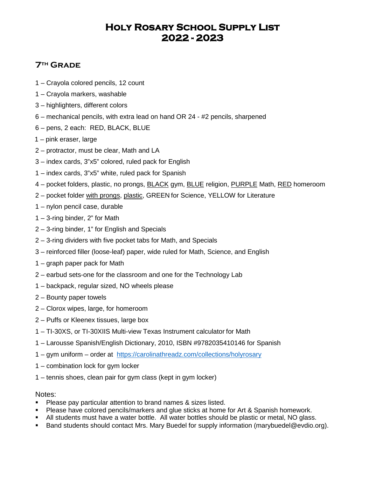## **7th Grade**

- 1 Crayola colored pencils, 12 count
- 1 Crayola markers, washable
- 3 highlighters, different colors
- 6 mechanical pencils, with extra lead on hand OR 24 #2 pencils, sharpened
- 6 pens, 2 each: RED, BLACK, BLUE
- 1 pink eraser, large
- 2 protractor, must be clear, Math and LA
- 3 index cards, 3"x5" colored, ruled pack for English
- 1 index cards, 3"x5" white, ruled pack for Spanish
- 4 pocket folders, plastic, no prongs, **BLACK** gym, **BLUE** religion, **PURPLE** Math, RED homeroom
- 2 pocket folder with prongs, plastic, GREEN for Science, YELLOW for Literature
- 1 nylon pencil case, durable
- 1 3-ring binder, 2" for Math
- 2 3-ring binder, 1" for English and Specials
- 2 3-ring dividers with five pocket tabs for Math, and Specials
- 3 reinforced filler (loose-leaf) paper, wide ruled for Math, Science, and English
- 1 graph paper pack for Math
- 2 earbud sets-one for the classroom and one for the Technology Lab
- 1 backpack, regular sized, NO wheels please
- 2 Bounty paper towels
- 2 Clorox wipes, large, for homeroom
- 2 Puffs or Kleenex tissues, large box
- 1 TI-30XS, or TI-30XIIS Multi-view Texas Instrument calculator for Math
- 1 Larousse Spanish/English Dictionary, 2010, ISBN #9782035410146 for Spanish
- 1 gym uniform order at <https://carolinathreadz.com/collections/holyrosary>
- 1 combination lock for gym locker
- 1 tennis shoes, clean pair for gym class (kept in gym locker)

- **Please pay particular attention to brand names & sizes listed.**
- **Please have colored pencils/markers and glue sticks at home for Art & Spanish homework.**
- All students must have a water bottle. All water bottles should be plastic or metal, NO glass.
- Band students should contact Mrs. Mary Buedel for supply information (marybuedel@evdio.org).